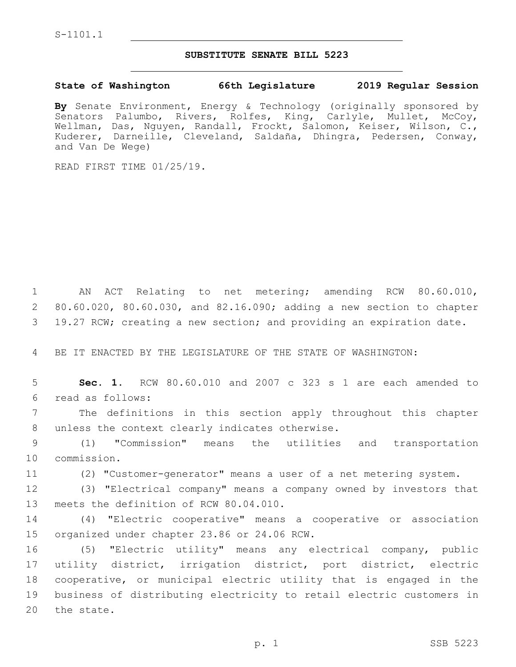## **SUBSTITUTE SENATE BILL 5223**

## **State of Washington 66th Legislature 2019 Regular Session**

**By** Senate Environment, Energy & Technology (originally sponsored by Senators Palumbo, Rivers, Rolfes, King, Carlyle, Mullet, McCoy, Wellman, Das, Nguyen, Randall, Frockt, Salomon, Keiser, Wilson, C., Kuderer, Darneille, Cleveland, Saldaña, Dhingra, Pedersen, Conway, and Van De Wege)

READ FIRST TIME 01/25/19.

1 AN ACT Relating to net metering; amending RCW 80.60.010, 2 80.60.020, 80.60.030, and 82.16.090; adding a new section to chapter 3 19.27 RCW; creating a new section; and providing an expiration date.

4 BE IT ENACTED BY THE LEGISLATURE OF THE STATE OF WASHINGTON:

5 **Sec. 1.** RCW 80.60.010 and 2007 c 323 s 1 are each amended to read as follows:6

7 The definitions in this section apply throughout this chapter 8 unless the context clearly indicates otherwise.

9 (1) "Commission" means the utilities and transportation 10 commission.

11 (2) "Customer-generator" means a user of a net metering system.

12 (3) "Electrical company" means a company owned by investors that 13 meets the definition of RCW 80.04.010.

14 (4) "Electric cooperative" means a cooperative or association 15 organized under chapter 23.86 or 24.06 RCW.

 (5) "Electric utility" means any electrical company, public utility district, irrigation district, port district, electric cooperative, or municipal electric utility that is engaged in the business of distributing electricity to retail electric customers in 20 the state.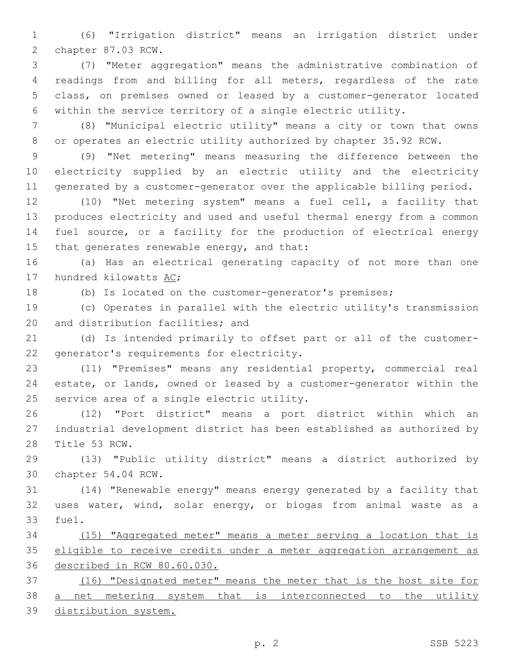(6) "Irrigation district" means an irrigation district under 2 chapter 87.03 RCW.

 (7) "Meter aggregation" means the administrative combination of readings from and billing for all meters, regardless of the rate class, on premises owned or leased by a customer-generator located within the service territory of a single electric utility.

 (8) "Municipal electric utility" means a city or town that owns or operates an electric utility authorized by chapter 35.92 RCW.

 (9) "Net metering" means measuring the difference between the electricity supplied by an electric utility and the electricity generated by a customer-generator over the applicable billing period.

 (10) "Net metering system" means a fuel cell, a facility that produces electricity and used and useful thermal energy from a common fuel source, or a facility for the production of electrical energy 15 that generates renewable energy, and that:

 (a) Has an electrical generating capacity of not more than one 17 hundred kilowatts AC;

(b) Is located on the customer-generator's premises;

 (c) Operates in parallel with the electric utility's transmission 20 and distribution facilities; and

 (d) Is intended primarily to offset part or all of the customer-22 generator's requirements for electricity.

 (11) "Premises" means any residential property, commercial real estate, or lands, owned or leased by a customer-generator within the 25 service area of a single electric utility.

 (12) "Port district" means a port district within which an industrial development district has been established as authorized by 28 Title 53 RCW.

 (13) "Public utility district" means a district authorized by 30 chapter 54.04 RCW.

 (14) "Renewable energy" means energy generated by a facility that uses water, wind, solar energy, or biogas from animal waste as a 33 fuel.

 (15) "Aggregated meter" means a meter serving a location that is eligible to receive credits under a meter aggregation arrangement as described in RCW 80.60.030.

 (16) "Designated meter" means the meter that is the host site for 38 <u>a net metering system that is interconnected to the utility</u> distribution system.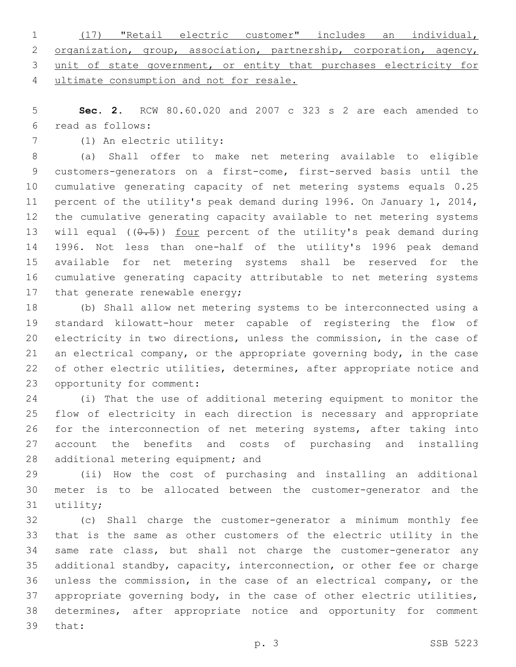|  | 1 (17) "Retail electric customer" includes an individual,             |  |  |  |  |
|--|-----------------------------------------------------------------------|--|--|--|--|
|  | 2 organization, group, association, partnership, corporation, agency, |  |  |  |  |
|  | 3 unit of state government, or entity that purchases electricity for  |  |  |  |  |
|  | 4 ultimate consumption and not for resale.                            |  |  |  |  |

 **Sec. 2.** RCW 80.60.020 and 2007 c 323 s 2 are each amended to read as follows:6

7 (1) An electric utility:

 (a) Shall offer to make net metering available to eligible customers-generators on a first-come, first-served basis until the cumulative generating capacity of net metering systems equals 0.25 percent of the utility's peak demand during 1996. On January 1, 2014, the cumulative generating capacity available to net metering systems 13 will equal  $((0.5))$  four percent of the utility's peak demand during 1996. Not less than one-half of the utility's 1996 peak demand available for net metering systems shall be reserved for the cumulative generating capacity attributable to net metering systems 17 that generate renewable energy;

 (b) Shall allow net metering systems to be interconnected using a standard kilowatt-hour meter capable of registering the flow of electricity in two directions, unless the commission, in the case of an electrical company, or the appropriate governing body, in the case 22 of other electric utilities, determines, after appropriate notice and 23 opportunity for comment:

 (i) That the use of additional metering equipment to monitor the flow of electricity in each direction is necessary and appropriate for the interconnection of net metering systems, after taking into account the benefits and costs of purchasing and installing 28 additional metering equipment; and

 (ii) How the cost of purchasing and installing an additional meter is to be allocated between the customer-generator and the 31 utility;

 (c) Shall charge the customer-generator a minimum monthly fee that is the same as other customers of the electric utility in the same rate class, but shall not charge the customer-generator any additional standby, capacity, interconnection, or other fee or charge unless the commission, in the case of an electrical company, or the appropriate governing body, in the case of other electric utilities, determines, after appropriate notice and opportunity for comment 39 that: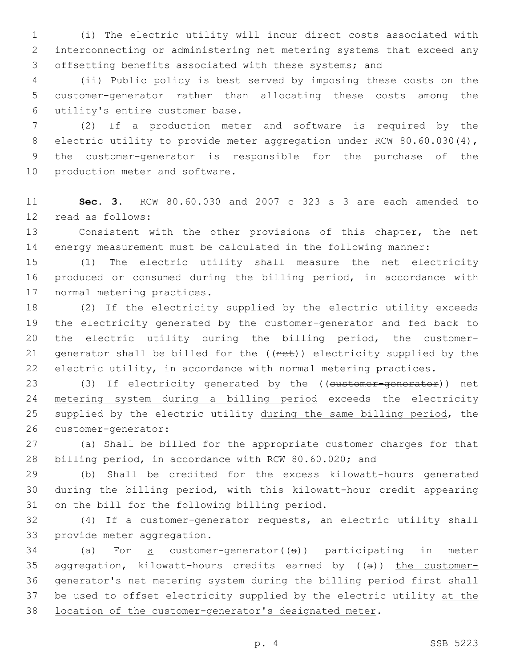(i) The electric utility will incur direct costs associated with interconnecting or administering net metering systems that exceed any offsetting benefits associated with these systems; and

 (ii) Public policy is best served by imposing these costs on the customer-generator rather than allocating these costs among the utility's entire customer base.6

 (2) If a production meter and software is required by the 8 electric utility to provide meter aggregation under RCW 80.60.030(4), the customer-generator is responsible for the purchase of the 10 production meter and software.

 **Sec. 3.** RCW 80.60.030 and 2007 c 323 s 3 are each amended to 12 read as follows:

 Consistent with the other provisions of this chapter, the net energy measurement must be calculated in the following manner:

 (1) The electric utility shall measure the net electricity produced or consumed during the billing period, in accordance with 17 normal metering practices.

 (2) If the electricity supplied by the electric utility exceeds the electricity generated by the customer-generator and fed back to the electric utility during the billing period, the customer-21 generator shall be billed for the ((net)) electricity supplied by the electric utility, in accordance with normal metering practices.

23 (3) If electricity generated by the ((customer-generator)) net metering system during a billing period exceeds the electricity 25 supplied by the electric utility during the same billing period, the 26 customer-generator:

 (a) Shall be billed for the appropriate customer charges for that billing period, in accordance with RCW 80.60.020; and

 (b) Shall be credited for the excess kilowatt-hours generated during the billing period, with this kilowatt-hour credit appearing 31 on the bill for the following billing period.

 (4) If a customer-generator requests, an electric utility shall 33 provide meter aggregation.

 (a) For <u>a</u> customer-generator( $(5)$ ) participating in meter 35 aggregation, kilowatt-hours credits earned by  $((a))$  the customer- generator's net metering system during the billing period first shall 37 be used to offset electricity supplied by the electric utility at the location of the customer-generator's designated meter.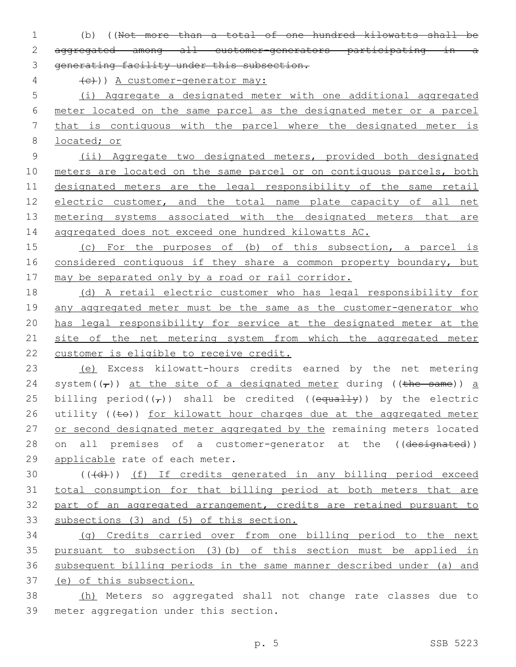(b) ((Not more than a total of one hundred kilowatts shall be aggregated among all customer-generators participating in a generating facility under this subsection.

 $\left\{ \left( \begin{array}{cc} 4 & \text{etc.} \end{array} \right) \right\}$  A customer-generator may:

 (i) Aggregate a designated meter with one additional aggregated meter located on the same parcel as the designated meter or a parcel that is contiguous with the parcel where the designated meter is located; or

 (ii) Aggregate two designated meters, provided both designated 10 meters are located on the same parcel or on contiguous parcels, both designated meters are the legal responsibility of the same retail electric customer, and the total name plate capacity of all net metering systems associated with the designated meters that are aggregated does not exceed one hundred kilowatts AC.

 (c) For the purposes of (b) of this subsection, a parcel is 16 considered contiguous if they share a common property boundary, but may be separated only by a road or rail corridor.

 (d) A retail electric customer who has legal responsibility for 19 any aggregated meter must be the same as the customer-generator who has legal responsibility for service at the designated meter at the 21 site of the net metering system from which the aggregated meter customer is eligible to receive credit.

 (e) Excess kilowatt-hours credits earned by the net metering 24 system( $(\tau)$ ) at the site of a designated meter during ((the same)) a 25 billing period( $(\tau)$ ) shall be credited ((equally)) by the electric 26 utility ((to)) for kilowatt hour charges due at the aggregated meter 27 or second designated meter aggregated by the remaining meters located 28 on all premises of a customer-generator at the ((designated)) 29 applicable rate of each meter.

30 (((d))) (f) If credits generated in any billing period exceed total consumption for that billing period at both meters that are part of an aggregated arrangement, credits are retained pursuant to subsections (3) and (5) of this section.

 (g) Credits carried over from one billing period to the next pursuant to subsection (3)(b) of this section must be applied in subsequent billing periods in the same manner described under (a) and (e) of this subsection.

 (h) Meters so aggregated shall not change rate classes due to 39 meter aggregation under this section.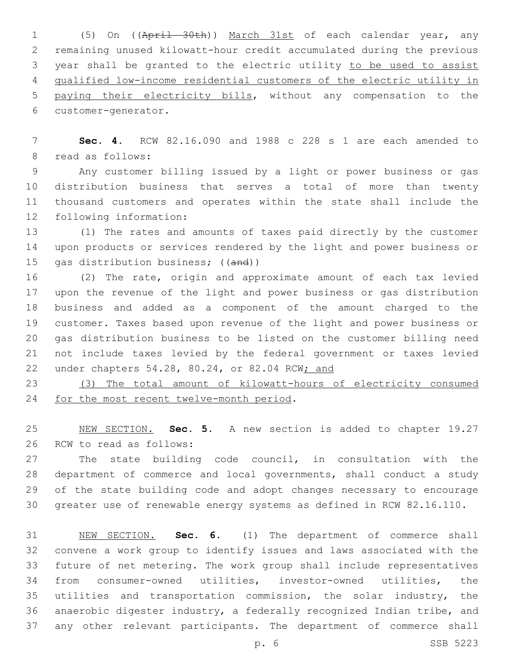(5) On ((April 30th)) March 31st of each calendar year, any remaining unused kilowatt-hour credit accumulated during the previous year shall be granted to the electric utility to be used to assist qualified low-income residential customers of the electric utility in paying their electricity bills, without any compensation to the 6 customer-generator.

 **Sec. 4.** RCW 82.16.090 and 1988 c 228 s 1 are each amended to 8 read as follows:

 Any customer billing issued by a light or power business or gas distribution business that serves a total of more than twenty thousand customers and operates within the state shall include the 12 following information:

 (1) The rates and amounts of taxes paid directly by the customer upon products or services rendered by the light and power business or 15 gas distribution business; ((and))

 (2) The rate, origin and approximate amount of each tax levied upon the revenue of the light and power business or gas distribution business and added as a component of the amount charged to the customer. Taxes based upon revenue of the light and power business or gas distribution business to be listed on the customer billing need not include taxes levied by the federal government or taxes levied under chapters 54.28, 80.24, or 82.04 RCW; and

 (3) The total amount of kilowatt-hours of electricity consumed 24 for the most recent twelve-month period.

 NEW SECTION. **Sec. 5.** A new section is added to chapter 19.27 26 RCW to read as follows:

 The state building code council, in consultation with the department of commerce and local governments, shall conduct a study of the state building code and adopt changes necessary to encourage greater use of renewable energy systems as defined in RCW 82.16.110.

 NEW SECTION. **Sec. 6.** (1) The department of commerce shall convene a work group to identify issues and laws associated with the future of net metering. The work group shall include representatives from consumer-owned utilities, investor-owned utilities, the utilities and transportation commission, the solar industry, the anaerobic digester industry, a federally recognized Indian tribe, and any other relevant participants. The department of commerce shall

p. 6 SSB 5223